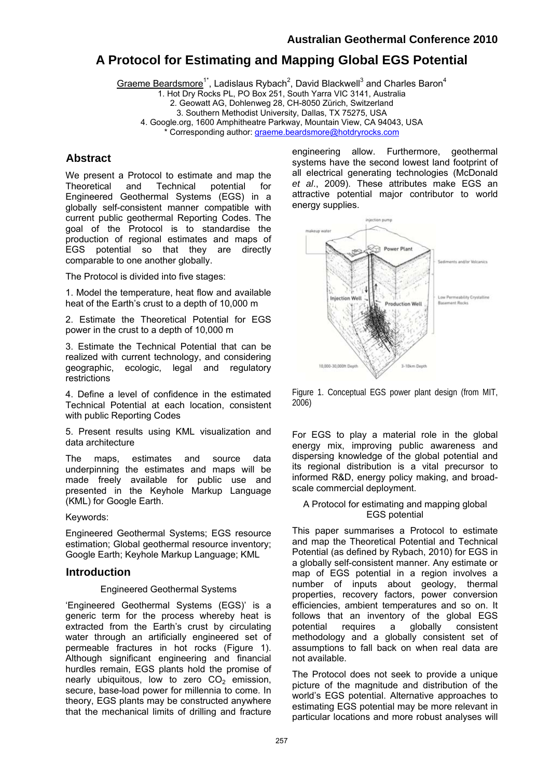# **A Protocol for Estimating and Mapping Global EGS Potential**

Graeme Beardsmore<sup>1\*</sup>, Ladislaus Rybach<sup>2</sup>, David Blackwell<sup>3</sup> and Charles Baron<sup>4</sup>

1. Hot Dry Rocks PL, PO Box 251, South Yarra VIC 3141, Australia

2. Geowatt AG, Dohlenweg 28, CH-8050 Zürich, Switzerland

3. Southern Methodist University, Dallas, TX 75275, USA

4. Google.org, 1600 Amphitheatre Parkway, Mountain View, CA 94043, USA

Corresponding author: [graeme.beardsmore@hotdryrocks.com](mailto:graeme.beardsmore@hotdryrocks.com)

## **Abstract**

We present a Protocol to estimate and map the Theoretical and Technical potential for Engineered Geothermal Systems (EGS) in a globally self-consistent manner compatible with current public geothermal Reporting Codes. The goal of the Protocol is to standardise the production of regional estimates and maps of EGS potential so that they are directly comparable to one another globally.

The Protocol is divided into five stages:

1. Model the temperature, heat flow and available heat of the Earth's crust to a depth of 10,000 m

2. Estimate the Theoretical Potential for EGS power in the crust to a depth of 10,000 m

3. Estimate the Technical Potential that can be realized with current technology, and considering geographic, ecologic, legal and regulatory restrictions

4. Define a level of confidence in the estimated Technical Potential at each location, consistent with public Reporting Codes

5. Present results using KML visualization and data architecture

The maps, estimates and source data underpinning the estimates and maps will be made freely available for public use and presented in the Keyhole Markup Language (KML) for Google Earth.

Keywords:

Engineered Geothermal Systems; EGS resource estimation; Global geothermal resource inventory; Google Earth; Keyhole Markup Language; KML

### **Introduction**

### Engineered Geothermal Systems

'Engineered Geothermal Systems (EGS)' is a generic term for the process whereby heat is extracted from the Earth's crust by circulating water through an artificially engineered set of permeable fractures in hot rocks (Figure 1). Although significant engineering and financial hurdles remain, EGS plants hold the promise of nearly ubiquitous, low to zero  $CO<sub>2</sub>$  emission, secure, base-load power for millennia to come. In theory, EGS plants may be constructed anywhere that the mechanical limits of drilling and fracture

engineering allow. Furthermore, geothermal systems have the second lowest land footprint of all electrical generating technologies (McDonald *et al*., 2009). These attributes make EGS an attractive potential major contributor to world energy supplies.



Figure 1. Conceptual EGS power plant design (from MIT, 2006)

For EGS to play a material role in the global energy mix, improving public awareness and dispersing knowledge of the global potential and its regional distribution is a vital precursor to informed R&D, energy policy making, and broadscale commercial deployment.

#### A Protocol for estimating and mapping global EGS potential

This paper summarises a Protocol to estimate and map the Theoretical Potential and Technical Potential (as defined by Rybach, 2010) for EGS in a globally self-consistent manner. Any estimate or map of EGS potential in a region involves a number of inputs about geology, thermal properties, recovery factors, power conversion efficiencies, ambient temperatures and so on. It follows that an inventory of the global EGS potential requires a globally consistent methodology and a globally consistent set of assumptions to fall back on when real data are not available.

The Protocol does not seek to provide a unique picture of the magnitude and distribution of the world's EGS potential. Alternative approaches to estimating EGS potential may be more relevant in particular locations and more robust analyses will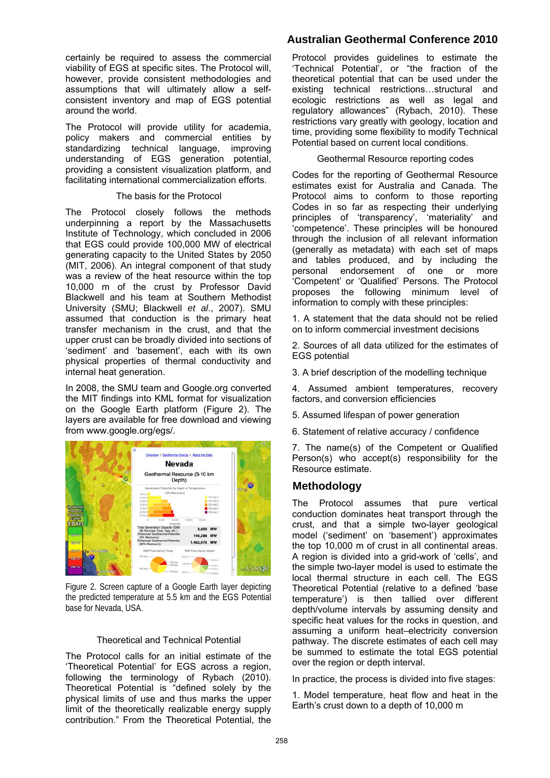certainly be required to assess the commercial viability of EGS at specific sites. The Protocol will, however, provide consistent methodologies and assumptions that will ultimately allow a selfconsistent inventory and map of EGS potential around the world.

The Protocol will provide utility for academia, policy makers and commercial entities by standardizing technical language, improving understanding of EGS generation potential, providing a consistent visualization platform, and facilitating international commercialization efforts.

#### The basis for the Protocol

The Protocol closely follows the methods underpinning a report by the Massachusetts Institute of Technology, which concluded in 2006 that EGS could provide 100,000 MW of electrical generating capacity to the United States by 2050 (MIT, 2006). An integral component of that study was a review of the heat resource within the top 10,000 m of the crust by Professor David Blackwell and his team at Southern Methodist University (SMU; Blackwell *et al*., 2007). SMU assumed that conduction is the primary heat transfer mechanism in the crust, and that the upper crust can be broadly divided into sections of 'sediment' and 'basement', each with its own physical properties of thermal conductivity and internal heat generation.

In 2008, the SMU team and Google.org converted the MIT findings into KML format for visualization on the Google Earth platform (Figure 2). The layers are available for free download and viewing from www.google.org/egs/.



Figure 2. Screen capture of a Google Earth layer depicting the predicted temperature at 5.5 km and the EGS Potential base for Nevada, USA.

#### Theoretical and Technical Potential

The Protocol calls for an initial estimate of the 'Theoretical Potential' for EGS across a region, following the terminology of Rybach (2010). Theoretical Potential is "defined solely by the physical limits of use and thus marks the upper limit of the theoretically realizable energy supply contribution." From the Theoretical Potential, the

### **Australian Geothermal Conference 2010**

Protocol provides guidelines to estimate the 'Technical Potential', or "the fraction of the theoretical potential that can be used under the existing technical restrictions…structural and ecologic restrictions as well as legal and regulatory allowances" (Rybach, 2010). These restrictions vary greatly with geology, location and time, providing some flexibility to modify Technical Potential based on current local conditions.

#### Geothermal Resource reporting codes

Codes for the reporting of Geothermal Resource estimates exist for Australia and Canada. The Protocol aims to conform to those reporting Codes in so far as respecting their underlying principles of 'transparency', 'materiality' and 'competence'. These principles will be honoured through the inclusion of all relevant information (generally as metadata) with each set of maps and tables produced, and by including the personal endorsement of one or more 'Competent' or 'Qualified' Persons. The Protocol proposes the following minimum level of information to comply with these principles:

1. A statement that the data should not be relied on to inform commercial investment decisions

2. Sources of all data utilized for the estimates of EGS potential

3. A brief description of the modelling technique

4. Assumed ambient temperatures, recovery factors, and conversion efficiencies

5. Assumed lifespan of power generation

6. Statement of relative accuracy / confidence

7. The name(s) of the Competent or Qualified Person(s) who accept(s) responsibility for the Resource estimate.

### **Methodology**

The Protocol assumes that pure vertical conduction dominates heat transport through the crust, and that a simple two-layer geological model ('sediment' on 'basement') approximates the top 10,000 m of crust in all continental areas. A region is divided into a grid-work of 'cells', and the simple two-layer model is used to estimate the local thermal structure in each cell. The EGS Theoretical Potential (relative to a defined 'base temperature') is then tallied over different depth/volume intervals by assuming density and specific heat values for the rocks in question, and assuming a uniform heat–electricity conversion pathway. The discrete estimates of each cell may be summed to estimate the total EGS potential over the region or depth interval.

In practice, the process is divided into five stages:

1. Model temperature, heat flow and heat in the Earth's crust down to a depth of 10,000 m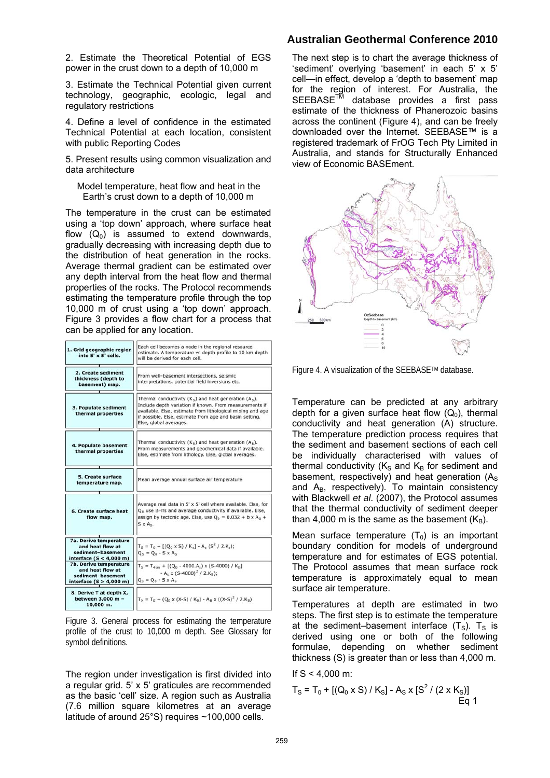2. Estimate the Theoretical Potential of EGS power in the crust down to a depth of 10,000 m

3. Estimate the Technical Potential given current technology, geographic, ecologic, legal and regulatory restrictions

4. Define a level of confidence in the estimated Technical Potential at each location, consistent with public Reporting Codes

5. Present results using common visualization and data architecture

Model temperature, heat flow and heat in the Earth's crust down to a depth of 10,000 m

The temperature in the crust can be estimated using a 'top down' approach, where surface heat flow  $(Q_0)$  is assumed to extend downwards, gradually decreasing with increasing depth due to the distribution of heat generation in the rocks. Average thermal gradient can be estimated over any depth interval from the heat flow and thermal properties of the rocks. The Protocol recommends estimating the temperature profile through the top 10,000 m of crust using a 'top down' approach. Figure 3 provides a flow chart for a process that can be applied for any location.

| 1. Grid geographic region<br>into 5' x 5' cells.                                             | Each cell becomes a node in the regional resource<br>estimate. A temperature vs depth profile to 10 km depth<br>will be derived for each cell.                                                                                                                          |
|----------------------------------------------------------------------------------------------|-------------------------------------------------------------------------------------------------------------------------------------------------------------------------------------------------------------------------------------------------------------------------|
| 2. Create sediment<br>thickness (depth to<br>basement) map.                                  | From well-basement intersections, seismic<br>interpretations, potential field inversions etc.                                                                                                                                                                           |
| 3. Populate sediment<br>thermal properties                                                   | Thermal conductivity $(K_c)$ and heat generation $(A_c)$ .<br>Include depth variation if known. From measurements if<br>available. Else, estimate from lithological mixing and age<br>if possible. Else, estimate from age and basin setting.<br>Else, global averages. |
| 4. Populate basement<br>thermal properties                                                   | Thermal conductivity $(K_B)$ and heat generation $(A_B)$ .<br>From measurements and geochemical data if available.<br>Else, estimate from lithology. Else, global averages.                                                                                             |
| 5. Create surface<br>temperature map.                                                        | Mean average annual surface air temperature                                                                                                                                                                                                                             |
| 6. Create surface heat<br>flow map.                                                          | Average real data in 5' x 5' cell where available. Else, for<br>Q <sub>o</sub> use BHTs and average conductivity if available. Else,<br>assign by tectonic age. Else, use $Q_0 = 0.032 + b \times A_n +$<br>$S \times A_{5}$ .                                          |
| 7a. Derive temperature<br>and heat flow at<br>sediment-basement<br>interface $(S < 4,000$ m) | $T_s = T_0 + [(Q_0 \times S) / K_s] - A_s (S^2 / 2.K_s);$<br>$Q_S = Q_0 - S \times A_S$                                                                                                                                                                                 |
| 7b. Derive temperature<br>and heat flow at<br>sediment-basement<br>interface $(S > 4,000$ m) | $T_S = T_{4km} + [(Q_0 - 4000.A_s) \times (S-4000) / K_B]$<br>$-As$ x (S-4000) <sup>2</sup> / 2.K <sub>B</sub> );<br>$Q_S = Q_0 - S \times A_S$                                                                                                                         |
| 8. Derive T at depth X,<br>between 3,000 m -<br>10,000 m.                                    | $T_x = T_s + (Q_s \times (X-S) / K_B) - A_B \times ((X-S)^2 / 2.K_B)$                                                                                                                                                                                                   |

Figure 3. General process for estimating the temperature profile of the crust to 10,000 m depth. See Glossary for symbol definitions.

The region under investigation is first divided into a regular grid. 5' x 5' graticules are recommended as the basic 'cell' size. A region such as Australia (7.6 million square kilometres at an average latitude of around 25°S) requires ~100,000 cells.

### **Australian Geothermal Conference 2010**

The next step is to chart the average thickness of 'sediment' overlying 'basement' in each 5' x 5' cell—in effect, develop a 'depth to basement' map for the region of interest. For Australia, the SEEBASE<sup>™</sup> database provides a first pass estimate of the thickness of Phanerozoic basins across the continent (Figure 4), and can be freely downloaded over the Internet. SEEBASE™ is a registered trademark of FrOG Tech Pty Limited in Australia, and stands for Structurally Enhanced view of Economic BASEment.



Figure 4. A visualization of the SEEBASETM database.

Temperature can be predicted at any arbitrary depth for a given surface heat flow  $(Q_0)$ , thermal conductivity and heat generation (A) structure. The temperature prediction process requires that the sediment and basement sections of each cell be individually characterised with values of thermal conductivity ( $K_S$  and  $K_B$  for sediment and basement, respectively) and heat generation  $(A<sub>s</sub>)$ and  $A_B$ , respectively). To maintain consistency with Blackwell *et al*. (2007), the Protocol assumes that the thermal conductivity of sediment deeper than 4,000 m is the same as the basement  $(K_B)$ .

Mean surface temperature  $(T_0)$  is an important boundary condition for models of underground temperature and for estimates of EGS potential. The Protocol assumes that mean surface rock temperature is approximately equal to mean surface air temperature.

Temperatures at depth are estimated in two steps. The first step is to estimate the temperature at the sediment–basement interface  $(T<sub>S</sub>)$ . T<sub>S</sub> is derived using one or both of the following formulae, depending on whether sediment thickness (S) is greater than or less than 4,000 m.

If  $S < 4.000$  m:

$$
T_{\rm S} = T_0 + [(Q_0 \times S) / K_{\rm S}] - A_{\rm S} \times [S^2 / (2 \times K_{\rm S})]
$$
  
Eq 1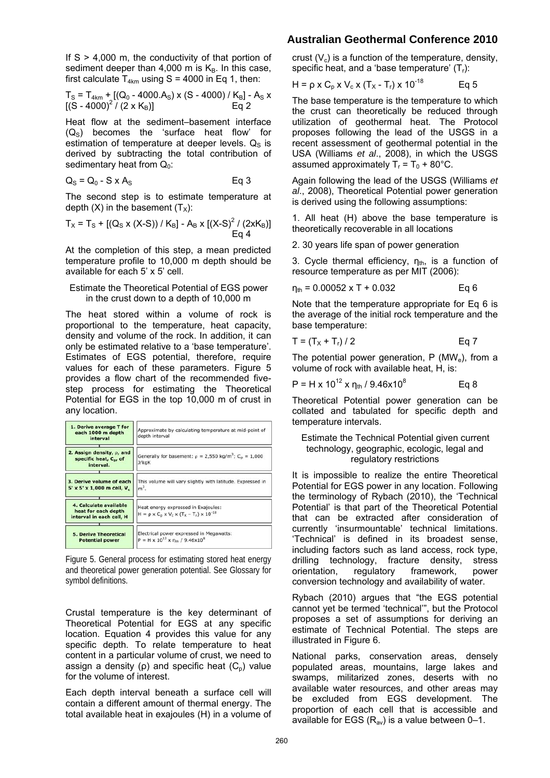If  $S > 4,000$  m, the conductivity of that portion of sediment deeper than 4,000 m is  $K_B$ . In this case, first calculate  $T_{4km}$  using S = 4000 in Eq 1, then:

$$
T_{\rm S} = T_{4km} + [(Q_0 - 4000.A_{\rm S}) \times (S - 4000) / K_{\rm B}] - A_{\rm S} \times [(S - 4000)^2 / (2 \times K_{\rm B})] \qquad \text{Eq 2}
$$

Heat flow at the sediment–basement interface  $(Q<sub>S</sub>)$  becomes the 'surface heat flow' for estimation of temperature at deeper levels.  $Q<sub>S</sub>$  is derived by subtracting the total contribution of sedimentary heat from  $Q_0$ :

$$
Q_S = Q_0 - S \times A_S
$$
 Eq 3

The second step is to estimate temperature at depth  $(X)$  in the basement  $(T_X)$ :

$$
T_X = T_S + [(Q_S \times (X-S)) / K_B] - A_B \times [(X-S)^2 / (2xK_B)]
$$
  
Eq 4

At the completion of this step, a mean predicted temperature profile to 10,000 m depth should be available for each 5' x 5' cell.

#### Estimate the Theoretical Potential of EGS power in the crust down to a depth of 10,000 m

The heat stored within a volume of rock is proportional to the temperature, heat capacity, density and volume of the rock. In addition, it can only be estimated relative to a 'base temperature'. Estimates of EGS potential, therefore, require values for each of these parameters. Figure 5 provides a flow chart of the recommended fivestep process for estimating the Theoretical Potential for EGS in the top 10,000 m of crust in any location.

| 1. Derive average T for<br>each 1000 m depth<br>interval                    | Approximate by calculating temperature at mid-point of<br>depth interval                                        |
|-----------------------------------------------------------------------------|-----------------------------------------------------------------------------------------------------------------|
| 2. Assign density, p, and<br>specific heat, C <sub>pr</sub> of<br>interval. | Generally for basement: $\rho = 2,550 \text{ kg/m}^3$ ; C <sub>o</sub> = 1,000<br>J/kqK                         |
| 3. Derive volume of each<br>5' x 5' x 1,000 m cell, V,                      | This volume will vary slightly with latitude. Expressed in<br>$m3$ .                                            |
| 4. Calculate available<br>heat for each depth<br>interval in each cell, H   | Heat energy expressed in Exajoules:<br>$H = \rho \times C_0 \times V_c \times (T_x - T_r) \times 10^{-18}$      |
| <b>5. Derive Theoretical</b><br><b>Potential power</b>                      | Electrical power expressed in Megawatts:<br>$P = H \times 10^{12} \times \eta_{\text{th}} / 9.46 \times 10^{8}$ |

Figure 5. General process for estimating stored heat energy and theoretical power generation potential. See Glossary for symbol definitions.

Crustal temperature is the key determinant of Theoretical Potential for EGS at any specific location. Equation 4 provides this value for any specific depth. To relate temperature to heat content in a particular volume of crust, we need to assign a density ( $\rho$ ) and specific heat ( $C_p$ ) value for the volume of interest.

Each depth interval beneath a surface cell will contain a different amount of thermal energy. The total available heat in exajoules (H) in a volume of

### **Australian Geothermal Conference 2010**

crust  $(V_c)$  is a function of the temperature, density, specific heat, and a 'base temperature'  $(T<sub>r</sub>)$ :

$$
H = \rho \times C_p \times V_c \times (T_x - T_r) \times 10^{-18}
$$
 Eq 5

The base temperature is the temperature to which the crust can theoretically be reduced through utilization of geothermal heat. The Protocol proposes following the lead of the USGS in a recent assessment of geothermal potential in the USA (Williams *et al*., 2008), in which the USGS assumed approximately  $T_r = T_0 + 80^{\circ}$ C.

Again following the lead of the USGS (Williams *et al*., 2008), Theoretical Potential power generation is derived using the following assumptions:

1. All heat (H) above the base temperature is theoretically recoverable in all locations

2. 30 years life span of power generation

3. Cycle thermal efficiency,  $n_{th}$ , is a function of resource temperature as per MIT (2006):

$$
\eta_{\text{th}} = 0.00052 \times T + 0.032 \qquad \text{Eq 6}
$$

Note that the temperature appropriate for Eq 6 is the average of the initial rock temperature and the base temperature:

$$
T = (T_X + T_r) / 2
$$
 Eq 7

The potential power generation,  $P(MW_e)$ , from a volume of rock with available heat, H, is:

$$
P = H \times 10^{12} \times \eta_{\text{th}} / 9.46 \times 10^8
$$
 Eq 8

Theoretical Potential power generation can be collated and tabulated for specific depth and temperature intervals.

#### Estimate the Technical Potential given current technology, geographic, ecologic, legal and regulatory restrictions

It is impossible to realize the entire Theoretical Potential for EGS power in any location. Following the terminology of Rybach (2010), the 'Technical Potential' is that part of the Theoretical Potential that can be extracted after consideration of currently 'insurmountable' technical limitations. 'Technical' is defined in its broadest sense, including factors such as land access, rock type, drilling technology, fracture density, stress orientation, regulatory framework, power conversion technology and availability of water.

Rybach (2010) argues that "the EGS potential cannot yet be termed 'technical'", but the Protocol proposes a set of assumptions for deriving an estimate of Technical Potential. The steps are illustrated in Figure 6.

National parks, conservation areas, densely populated areas, mountains, large lakes and swamps, militarized zones, deserts with no available water resources, and other areas may be excluded from EGS development. The proportion of each cell that is accessible and available for EGS  $(R_{av})$  is a value between 0–1.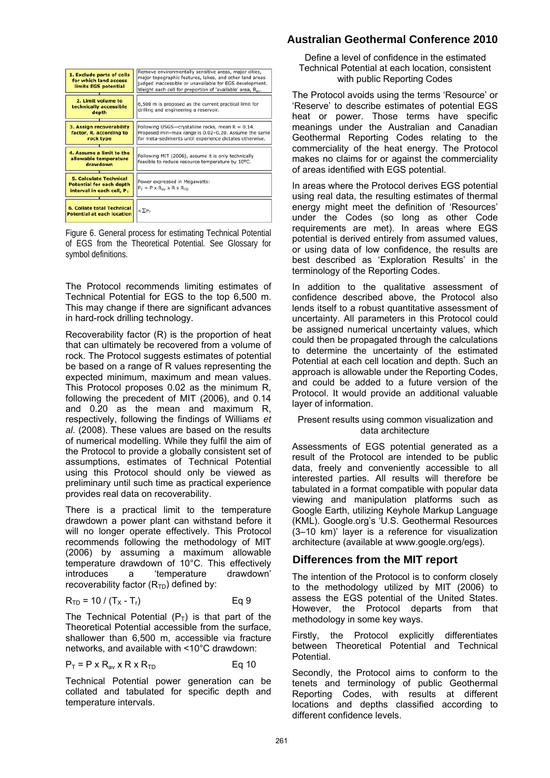| 1. Exclude parts of cells<br>for which land access<br>limits EGS potential                       | Remove environmentally sensitive areas, major cities,<br>major topographic features, lakes, and other land areas<br>judged inaccessible or unavailable for EGS development.<br>Weight each cell for proportion of 'available' area, R <sub>av</sub> . |
|--------------------------------------------------------------------------------------------------|-------------------------------------------------------------------------------------------------------------------------------------------------------------------------------------------------------------------------------------------------------|
| 2. Limit volume to<br>technically accessible<br>depth                                            | 6,500 m is proposed as the current practical limit for<br>drilling and engineering a reservoir.                                                                                                                                                       |
| 3. Assign recoverability<br>factor, R, according to<br>rock type                                 | Following USGS-crystalline rocks, mean $R = 0.14$ .<br>Proposed min-max range is 0.02-0.20. Assume the same<br>for meta-sediments until experience dictates otherwise.                                                                                |
| 4. Assume a limit to the<br>allowable temperature<br>drawdown                                    | Following MIT (2006), assume it is only technically<br>feasible to reduce resource temperature by 10°C.                                                                                                                                               |
| <b>5. Calculate Technical</b><br><b>Potential for each depth</b><br>interval in each cell, $P_T$ | Power expressed in Megawatts:<br>$P_T = P \times R_{av} \times R \times R_{TD}$                                                                                                                                                                       |
| <b>6. Collate total Technical</b><br><b>Potential at each location</b>                           | $=\sum P_T$                                                                                                                                                                                                                                           |

Figure 6. General process for estimating Technical Potential of EGS from the Theoretical Potential. See Glossary for symbol definitions.

The Protocol recommends limiting estimates of Technical Potential for EGS to the top 6,500 m. This may change if there are significant advances in hard-rock drilling technology.

Recoverability factor (R) is the proportion of heat that can ultimately be recovered from a volume of rock. The Protocol suggests estimates of potential be based on a range of R values representing the expected minimum, maximum and mean values. This Protocol proposes 0.02 as the minimum R, following the precedent of MIT (2006), and 0.14 and 0.20 as the mean and maximum R, respectively, following the findings of Williams *et al*. (2008). These values are based on the results of numerical modelling. While they fulfil the aim of the Protocol to provide a globally consistent set of assumptions, estimates of Technical Potential using this Protocol should only be viewed as preliminary until such time as practical experience provides real data on recoverability.

There is a practical limit to the temperature drawdown a power plant can withstand before it will no longer operate effectively. This Protocol recommends following the methodology of MIT (2006) by assuming a maximum allowable temperature drawdown of 10°C. This effectively<br>introduces a temperature drawdown' introduces a 'temperature recoverability factor  $(R<sub>TD</sub>)$  defined by:

$$
R_{TD} = 10 / (T_X - T_r)
$$
 Eq 9

The Technical Potential  $(P_T)$  is that part of the Theoretical Potential accessible from the surface, shallower than 6,500 m, accessible via fracture networks, and available with <10°C drawdown:

$$
P_T = P \times R_{av} \times R \times R_{TD}
$$
 Eq 10

Technical Potential power generation can be collated and tabulated for specific depth and temperature intervals.

# **Australian Geothermal Conference 2010**

Define a level of confidence in the estimated Technical Potential at each location, consistent with public Reporting Codes

The Protocol avoids using the terms 'Resource' or 'Reserve' to describe estimates of potential EGS heat or power. Those terms have specific meanings under the Australian and Canadian Geothermal Reporting Codes relating to the commerciality of the heat energy. The Protocol makes no claims for or against the commerciality of areas identified with EGS potential.

In areas where the Protocol derives EGS potential using real data, the resulting estimates of thermal energy might meet the definition of 'Resources' under the Codes (so long as other Code requirements are met). In areas where EGS potential is derived entirely from assumed values, or using data of low confidence, the results are best described as 'Exploration Results' in the terminology of the Reporting Codes.

In addition to the qualitative assessment of confidence described above, the Protocol also lends itself to a robust quantitative assessment of uncertainty. All parameters in this Protocol could be assigned numerical uncertainty values, which could then be propagated through the calculations to determine the uncertainty of the estimated Potential at each cell location and depth. Such an approach is allowable under the Reporting Codes, and could be added to a future version of the Protocol. It would provide an additional valuable layer of information.

#### Present results using common visualization and data architecture

Assessments of EGS potential generated as a result of the Protocol are intended to be public data, freely and conveniently accessible to all interested parties. All results will therefore be tabulated in a format compatible with popular data viewing and manipulation platforms such as Google Earth, utilizing Keyhole Markup Language (KML). Google.org's 'U.S. Geothermal Resources (3–10 km)' layer is a reference for visualization architecture (available at www.google.org/egs).

### **Differences from the MIT report**

The intention of the Protocol is to conform closely to the methodology utilized by MIT (2006) to assess the EGS potential of the United States. However, the Protocol departs from that methodology in some key ways.

Firstly, the Protocol explicitly differentiates between Theoretical Potential and Technical Potential.

Secondly, the Protocol aims to conform to the tenets and terminology of public Geothermal Reporting Codes, with results at different locations and depths classified according to different confidence levels.